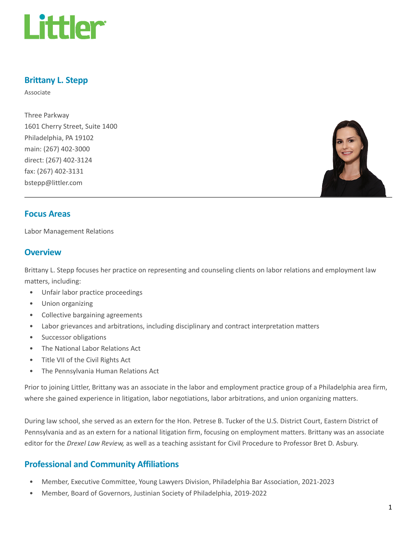

# Brittany L. Stepp

Associate

Three Parkway 1601 Cherry Street, Suite 1400 Philadelphia, PA 19102 main: (267) 402-3000 direct: (267) 402-3124 fax: (267) 402-3131 bstepp@littler.com



#### Focus Areas

Labor Management Relations

#### **Overview**

Brittany L. Stepp focuses her practice on representing and counseling clients on labor relations and employment law matters, including:

- Unfair labor practice proceedings
- Union organizing
- Collective bargaining agreements
- Labor grievances and arbitrations, including disciplinary and contract interpretation matters
- Successor obligations
- The National Labor Relations Act
- Title VII of the Civil Rights Act
- The Pennsylvania Human Relations Act

Prior to joining Littler, Brittany was an associate in the labor and employment practice group of a Philadelphia area firm, where she gained experience in litigation, labor negotiations, labor arbitrations, and union organizing matters.

During law school, she served as an extern for the Hon. Petrese B. Tucker of the U.S. District Court, Eastern District of Pennsylvania and as an extern for a national litigation firm, focusing on employment matters. Brittany was an associate editor for the Drexel Law Review, as well as a teaching assistant for Civil Procedure to Professor Bret D. Asbury.

#### Professional and Community Affiliations

- Member, Executive Committee, Young Lawyers Division, Philadelphia Bar Association, 2021-2023
- Member, Board of Governors, Justinian Society of Philadelphia, 2019-2022